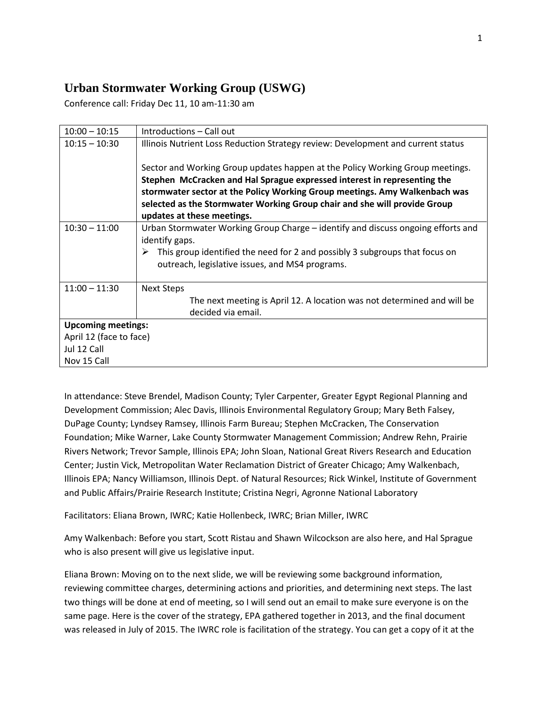## **Urban Stormwater Working Group (USWG)**

Conference call: Friday Dec 11, 10 am-11:30 am

| $10:00 - 10:15$           | Introductions – Call out                                                                                                                                                                                                                                                                                                                           |
|---------------------------|----------------------------------------------------------------------------------------------------------------------------------------------------------------------------------------------------------------------------------------------------------------------------------------------------------------------------------------------------|
| $10:15 - 10:30$           | Illinois Nutrient Loss Reduction Strategy review: Development and current status                                                                                                                                                                                                                                                                   |
|                           | Sector and Working Group updates happen at the Policy Working Group meetings.<br>Stephen McCracken and Hal Sprague expressed interest in representing the<br>stormwater sector at the Policy Working Group meetings. Amy Walkenbach was<br>selected as the Stormwater Working Group chair and she will provide Group<br>updates at these meetings. |
| $10:30 - 11:00$           | Urban Stormwater Working Group Charge – identify and discuss ongoing efforts and<br>identify gaps.<br>This group identified the need for 2 and possibly 3 subgroups that focus on<br>➤<br>outreach, legislative issues, and MS4 programs.                                                                                                          |
| $11:00 - 11:30$           | <b>Next Steps</b>                                                                                                                                                                                                                                                                                                                                  |
|                           | The next meeting is April 12. A location was not determined and will be<br>decided via email.                                                                                                                                                                                                                                                      |
| <b>Upcoming meetings:</b> |                                                                                                                                                                                                                                                                                                                                                    |
| April 12 (face to face)   |                                                                                                                                                                                                                                                                                                                                                    |
| Jul 12 Call               |                                                                                                                                                                                                                                                                                                                                                    |
| Nov 15 Call               |                                                                                                                                                                                                                                                                                                                                                    |

In attendance: Steve Brendel, Madison County; Tyler Carpenter, Greater Egypt Regional Planning and Development Commission; Alec Davis, Illinois Environmental Regulatory Group; Mary Beth Falsey, DuPage County; Lyndsey Ramsey, Illinois Farm Bureau; Stephen McCracken, The Conservation Foundation; Mike Warner, Lake County Stormwater Management Commission; Andrew Rehn, Prairie Rivers Network; Trevor Sample, Illinois EPA; John Sloan, National Great Rivers Research and Education Center; Justin Vick, Metropolitan Water Reclamation District of Greater Chicago; Amy Walkenbach, Illinois EPA; Nancy Williamson, Illinois Dept. of Natural Resources; Rick Winkel, Institute of Government and Public Affairs/Prairie Research Institute; Cristina Negri, Agronne National Laboratory

Facilitators: Eliana Brown, IWRC; Katie Hollenbeck, IWRC; Brian Miller, IWRC

Amy Walkenbach: Before you start, Scott Ristau and Shawn Wilcockson are also here, and Hal Sprague who is also present will give us legislative input.

Eliana Brown: Moving on to the next slide, we will be reviewing some background information, reviewing committee charges, determining actions and priorities, and determining next steps. The last two things will be done at end of meeting, so I will send out an email to make sure everyone is on the same page. Here is the cover of the strategy, EPA gathered together in 2013, and the final document was released in July of 2015. The IWRC role is facilitation of the strategy. You can get a copy of it at the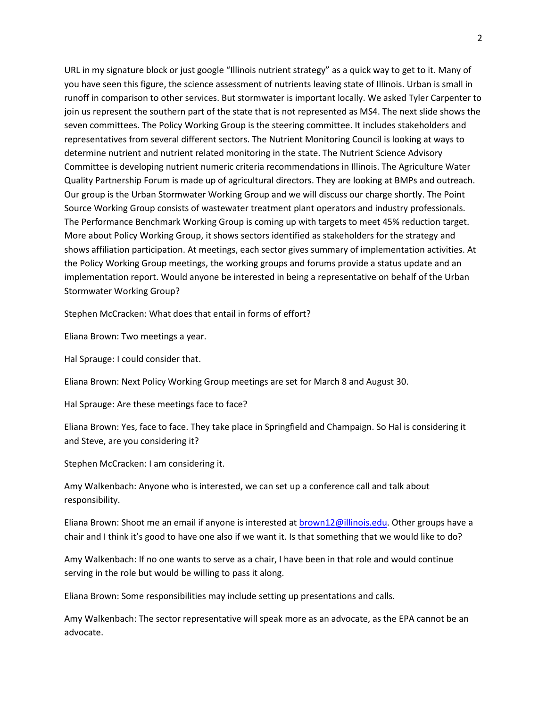URL in my signature block or just google "Illinois nutrient strategy" as a quick way to get to it. Many of you have seen this figure, the science assessment of nutrients leaving state of Illinois. Urban is small in runoff in comparison to other services. But stormwater is important locally. We asked Tyler Carpenter to join us represent the southern part of the state that is not represented as MS4. The next slide shows the seven committees. The Policy Working Group is the steering committee. It includes stakeholders and representatives from several different sectors. The Nutrient Monitoring Council is looking at ways to determine nutrient and nutrient related monitoring in the state. The Nutrient Science Advisory Committee is developing nutrient numeric criteria recommendations in Illinois. The Agriculture Water Quality Partnership Forum is made up of agricultural directors. They are looking at BMPs and outreach. Our group is the Urban Stormwater Working Group and we will discuss our charge shortly. The Point Source Working Group consists of wastewater treatment plant operators and industry professionals. The Performance Benchmark Working Group is coming up with targets to meet 45% reduction target. More about Policy Working Group, it shows sectors identified as stakeholders for the strategy and shows affiliation participation. At meetings, each sector gives summary of implementation activities. At the Policy Working Group meetings, the working groups and forums provide a status update and an implementation report. Would anyone be interested in being a representative on behalf of the Urban Stormwater Working Group?

Stephen McCracken: What does that entail in forms of effort?

Eliana Brown: Two meetings a year.

Hal Sprauge: I could consider that.

Eliana Brown: Next Policy Working Group meetings are set for March 8 and August 30.

Hal Sprauge: Are these meetings face to face?

Eliana Brown: Yes, face to face. They take place in Springfield and Champaign. So Hal is considering it and Steve, are you considering it?

Stephen McCracken: I am considering it.

Amy Walkenbach: Anyone who is interested, we can set up a conference call and talk about responsibility.

Eliana Brown: Shoot me an email if anyone is interested at [brown12@illinois.edu.](mailto:brown12@illinois.edu) Other groups have a chair and I think it's good to have one also if we want it. Is that something that we would like to do?

Amy Walkenbach: If no one wants to serve as a chair, I have been in that role and would continue serving in the role but would be willing to pass it along.

Eliana Brown: Some responsibilities may include setting up presentations and calls.

Amy Walkenbach: The sector representative will speak more as an advocate, as the EPA cannot be an advocate.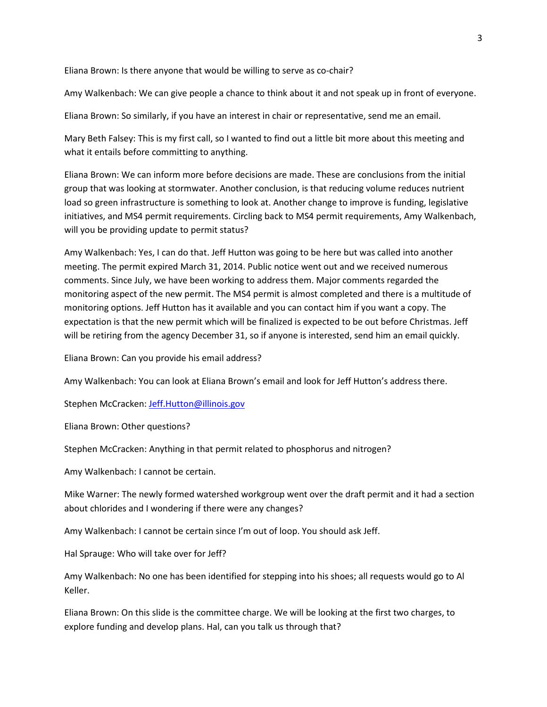Eliana Brown: Is there anyone that would be willing to serve as co-chair?

Amy Walkenbach: We can give people a chance to think about it and not speak up in front of everyone.

Eliana Brown: So similarly, if you have an interest in chair or representative, send me an email.

Mary Beth Falsey: This is my first call, so I wanted to find out a little bit more about this meeting and what it entails before committing to anything.

Eliana Brown: We can inform more before decisions are made. These are conclusions from the initial group that was looking at stormwater. Another conclusion, is that reducing volume reduces nutrient load so green infrastructure is something to look at. Another change to improve is funding, legislative initiatives, and MS4 permit requirements. Circling back to MS4 permit requirements, Amy Walkenbach, will you be providing update to permit status?

Amy Walkenbach: Yes, I can do that. Jeff Hutton was going to be here but was called into another meeting. The permit expired March 31, 2014. Public notice went out and we received numerous comments. Since July, we have been working to address them. Major comments regarded the monitoring aspect of the new permit. The MS4 permit is almost completed and there is a multitude of monitoring options. Jeff Hutton has it available and you can contact him if you want a copy. The expectation is that the new permit which will be finalized is expected to be out before Christmas. Jeff will be retiring from the agency December 31, so if anyone is interested, send him an email quickly.

Eliana Brown: Can you provide his email address?

Amy Walkenbach: You can look at Eliana Brown's email and look for Jeff Hutton's address there.

Stephen McCracken: [Jeff.Hutton@illinois.gov](mailto:Jeff.Hutton@illinois.gov)

Eliana Brown: Other questions?

Stephen McCracken: Anything in that permit related to phosphorus and nitrogen?

Amy Walkenbach: I cannot be certain.

Mike Warner: The newly formed watershed workgroup went over the draft permit and it had a section about chlorides and I wondering if there were any changes?

Amy Walkenbach: I cannot be certain since I'm out of loop. You should ask Jeff.

Hal Sprauge: Who will take over for Jeff?

Amy Walkenbach: No one has been identified for stepping into his shoes; all requests would go to Al Keller.

Eliana Brown: On this slide is the committee charge. We will be looking at the first two charges, to explore funding and develop plans. Hal, can you talk us through that?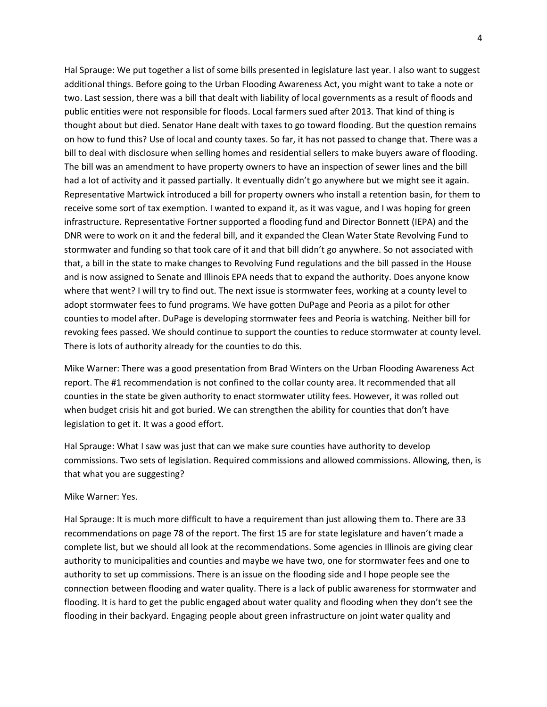Hal Sprauge: We put together a list of some bills presented in legislature last year. I also want to suggest additional things. Before going to the Urban Flooding Awareness Act, you might want to take a note or two. Last session, there was a bill that dealt with liability of local governments as a result of floods and public entities were not responsible for floods. Local farmers sued after 2013. That kind of thing is thought about but died. Senator Hane dealt with taxes to go toward flooding. But the question remains on how to fund this? Use of local and county taxes. So far, it has not passed to change that. There was a bill to deal with disclosure when selling homes and residential sellers to make buyers aware of flooding. The bill was an amendment to have property owners to have an inspection of sewer lines and the bill had a lot of activity and it passed partially. It eventually didn't go anywhere but we might see it again. Representative Martwick introduced a bill for property owners who install a retention basin, for them to receive some sort of tax exemption. I wanted to expand it, as it was vague, and I was hoping for green infrastructure. Representative Fortner supported a flooding fund and Director Bonnett (IEPA) and the DNR were to work on it and the federal bill, and it expanded the Clean Water State Revolving Fund to stormwater and funding so that took care of it and that bill didn't go anywhere. So not associated with that, a bill in the state to make changes to Revolving Fund regulations and the bill passed in the House and is now assigned to Senate and Illinois EPA needs that to expand the authority. Does anyone know where that went? I will try to find out. The next issue is stormwater fees, working at a county level to adopt stormwater fees to fund programs. We have gotten DuPage and Peoria as a pilot for other counties to model after. DuPage is developing stormwater fees and Peoria is watching. Neither bill for revoking fees passed. We should continue to support the counties to reduce stormwater at county level. There is lots of authority already for the counties to do this.

Mike Warner: There was a good presentation from Brad Winters on the Urban Flooding Awareness Act report. The #1 recommendation is not confined to the collar county area. It recommended that all counties in the state be given authority to enact stormwater utility fees. However, it was rolled out when budget crisis hit and got buried. We can strengthen the ability for counties that don't have legislation to get it. It was a good effort.

Hal Sprauge: What I saw was just that can we make sure counties have authority to develop commissions. Two sets of legislation. Required commissions and allowed commissions. Allowing, then, is that what you are suggesting?

## Mike Warner: Yes.

Hal Sprauge: It is much more difficult to have a requirement than just allowing them to. There are 33 recommendations on page 78 of the report. The first 15 are for state legislature and haven't made a complete list, but we should all look at the recommendations. Some agencies in Illinois are giving clear authority to municipalities and counties and maybe we have two, one for stormwater fees and one to authority to set up commissions. There is an issue on the flooding side and I hope people see the connection between flooding and water quality. There is a lack of public awareness for stormwater and flooding. It is hard to get the public engaged about water quality and flooding when they don't see the flooding in their backyard. Engaging people about green infrastructure on joint water quality and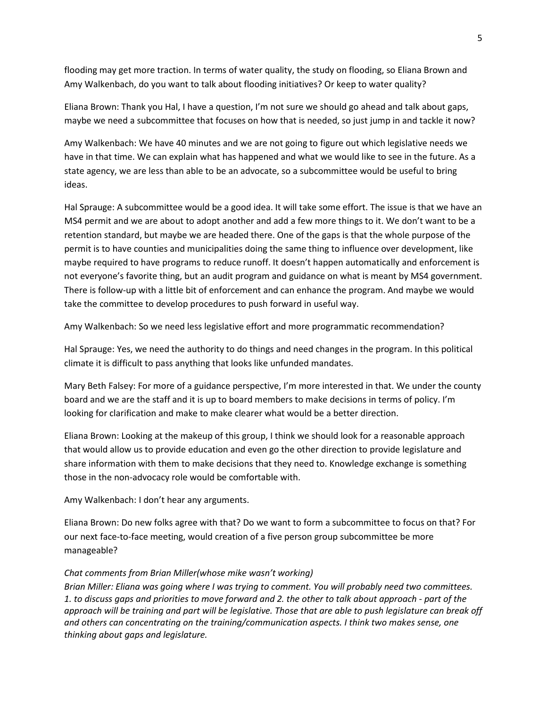flooding may get more traction. In terms of water quality, the study on flooding, so Eliana Brown and Amy Walkenbach, do you want to talk about flooding initiatives? Or keep to water quality?

Eliana Brown: Thank you Hal, I have a question, I'm not sure we should go ahead and talk about gaps, maybe we need a subcommittee that focuses on how that is needed, so just jump in and tackle it now?

Amy Walkenbach: We have 40 minutes and we are not going to figure out which legislative needs we have in that time. We can explain what has happened and what we would like to see in the future. As a state agency, we are less than able to be an advocate, so a subcommittee would be useful to bring ideas.

Hal Sprauge: A subcommittee would be a good idea. It will take some effort. The issue is that we have an MS4 permit and we are about to adopt another and add a few more things to it. We don't want to be a retention standard, but maybe we are headed there. One of the gaps is that the whole purpose of the permit is to have counties and municipalities doing the same thing to influence over development, like maybe required to have programs to reduce runoff. It doesn't happen automatically and enforcement is not everyone's favorite thing, but an audit program and guidance on what is meant by MS4 government. There is follow-up with a little bit of enforcement and can enhance the program. And maybe we would take the committee to develop procedures to push forward in useful way.

Amy Walkenbach: So we need less legislative effort and more programmatic recommendation?

Hal Sprauge: Yes, we need the authority to do things and need changes in the program. In this political climate it is difficult to pass anything that looks like unfunded mandates.

Mary Beth Falsey: For more of a guidance perspective, I'm more interested in that. We under the county board and we are the staff and it is up to board members to make decisions in terms of policy. I'm looking for clarification and make to make clearer what would be a better direction.

Eliana Brown: Looking at the makeup of this group, I think we should look for a reasonable approach that would allow us to provide education and even go the other direction to provide legislature and share information with them to make decisions that they need to. Knowledge exchange is something those in the non-advocacy role would be comfortable with.

Amy Walkenbach: I don't hear any arguments.

Eliana Brown: Do new folks agree with that? Do we want to form a subcommittee to focus on that? For our next face-to-face meeting, would creation of a five person group subcommittee be more manageable?

## *Chat comments from Brian Miller(whose mike wasn't working)*

*Brian Miller: Eliana was going where I was trying to comment. You will probably need two committees. 1. to discuss gaps and priorities to move forward and 2. the other to talk about approach - part of the approach will be training and part will be legislative. Those that are able to push legislature can break off and others can concentrating on the training/communication aspects. I think two makes sense, one thinking about gaps and legislature.*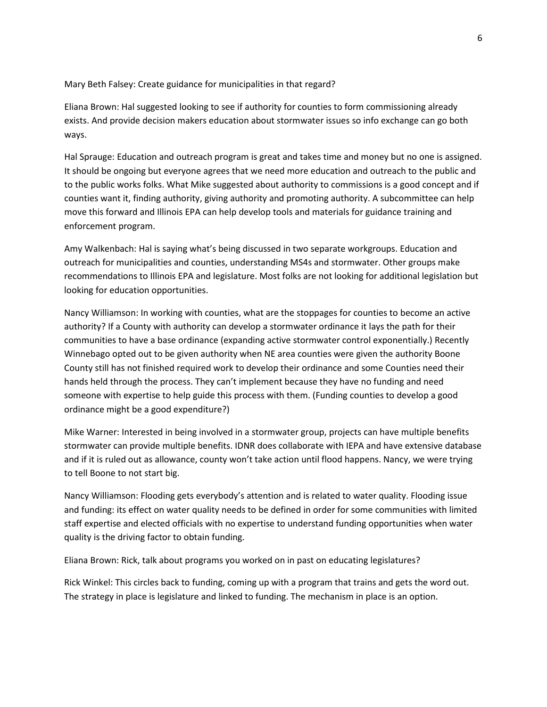Mary Beth Falsey: Create guidance for municipalities in that regard?

Eliana Brown: Hal suggested looking to see if authority for counties to form commissioning already exists. And provide decision makers education about stormwater issues so info exchange can go both ways.

Hal Sprauge: Education and outreach program is great and takes time and money but no one is assigned. It should be ongoing but everyone agrees that we need more education and outreach to the public and to the public works folks. What Mike suggested about authority to commissions is a good concept and if counties want it, finding authority, giving authority and promoting authority. A subcommittee can help move this forward and Illinois EPA can help develop tools and materials for guidance training and enforcement program.

Amy Walkenbach: Hal is saying what's being discussed in two separate workgroups. Education and outreach for municipalities and counties, understanding MS4s and stormwater. Other groups make recommendations to Illinois EPA and legislature. Most folks are not looking for additional legislation but looking for education opportunities.

Nancy Williamson: In working with counties, what are the stoppages for counties to become an active authority? If a County with authority can develop a stormwater ordinance it lays the path for their communities to have a base ordinance (expanding active stormwater control exponentially.) Recently Winnebago opted out to be given authority when NE area counties were given the authority Boone County still has not finished required work to develop their ordinance and some Counties need their hands held through the process. They can't implement because they have no funding and need someone with expertise to help guide this process with them. (Funding counties to develop a good ordinance might be a good expenditure?)

Mike Warner: Interested in being involved in a stormwater group, projects can have multiple benefits stormwater can provide multiple benefits. IDNR does collaborate with IEPA and have extensive database and if it is ruled out as allowance, county won't take action until flood happens. Nancy, we were trying to tell Boone to not start big.

Nancy Williamson: Flooding gets everybody's attention and is related to water quality. Flooding issue and funding: its effect on water quality needs to be defined in order for some communities with limited staff expertise and elected officials with no expertise to understand funding opportunities when water quality is the driving factor to obtain funding.

Eliana Brown: Rick, talk about programs you worked on in past on educating legislatures?

Rick Winkel: This circles back to funding, coming up with a program that trains and gets the word out. The strategy in place is legislature and linked to funding. The mechanism in place is an option.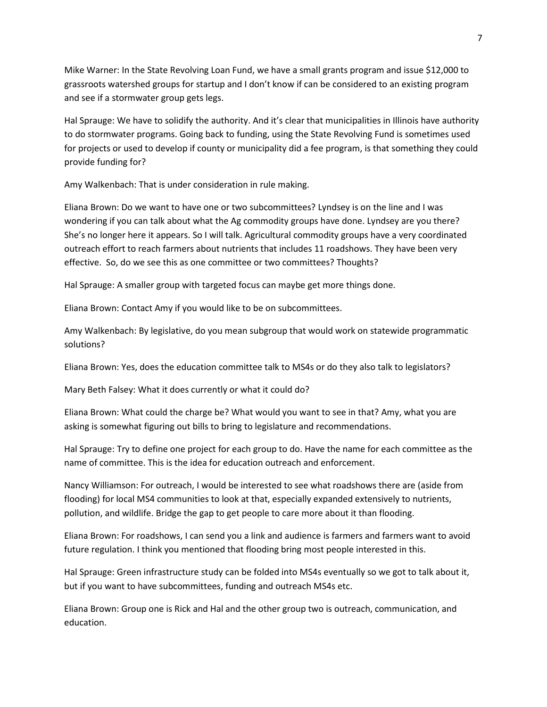Mike Warner: In the State Revolving Loan Fund, we have a small grants program and issue \$12,000 to grassroots watershed groups for startup and I don't know if can be considered to an existing program and see if a stormwater group gets legs.

Hal Sprauge: We have to solidify the authority. And it's clear that municipalities in Illinois have authority to do stormwater programs. Going back to funding, using the State Revolving Fund is sometimes used for projects or used to develop if county or municipality did a fee program, is that something they could provide funding for?

Amy Walkenbach: That is under consideration in rule making.

Eliana Brown: Do we want to have one or two subcommittees? Lyndsey is on the line and I was wondering if you can talk about what the Ag commodity groups have done. Lyndsey are you there? She's no longer here it appears. So I will talk. Agricultural commodity groups have a very coordinated outreach effort to reach farmers about nutrients that includes 11 roadshows. They have been very effective. So, do we see this as one committee or two committees? Thoughts?

Hal Sprauge: A smaller group with targeted focus can maybe get more things done.

Eliana Brown: Contact Amy if you would like to be on subcommittees.

Amy Walkenbach: By legislative, do you mean subgroup that would work on statewide programmatic solutions?

Eliana Brown: Yes, does the education committee talk to MS4s or do they also talk to legislators?

Mary Beth Falsey: What it does currently or what it could do?

Eliana Brown: What could the charge be? What would you want to see in that? Amy, what you are asking is somewhat figuring out bills to bring to legislature and recommendations.

Hal Sprauge: Try to define one project for each group to do. Have the name for each committee as the name of committee. This is the idea for education outreach and enforcement.

Nancy Williamson: For outreach, I would be interested to see what roadshows there are (aside from flooding) for local MS4 communities to look at that, especially expanded extensively to nutrients, pollution, and wildlife. Bridge the gap to get people to care more about it than flooding.

Eliana Brown: For roadshows, I can send you a link and audience is farmers and farmers want to avoid future regulation. I think you mentioned that flooding bring most people interested in this.

Hal Sprauge: Green infrastructure study can be folded into MS4s eventually so we got to talk about it, but if you want to have subcommittees, funding and outreach MS4s etc.

Eliana Brown: Group one is Rick and Hal and the other group two is outreach, communication, and education.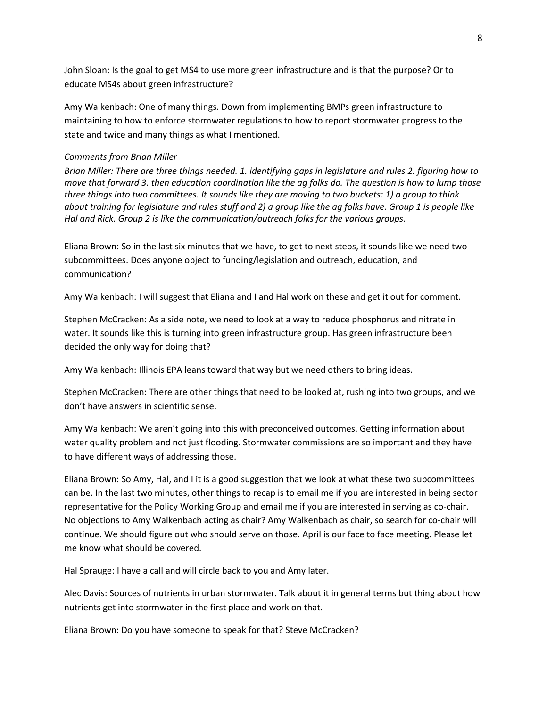John Sloan: Is the goal to get MS4 to use more green infrastructure and is that the purpose? Or to educate MS4s about green infrastructure?

Amy Walkenbach: One of many things. Down from implementing BMPs green infrastructure to maintaining to how to enforce stormwater regulations to how to report stormwater progress to the state and twice and many things as what I mentioned.

## *Comments from Brian Miller*

*Brian Miller: There are three things needed. 1. identifying gaps in legislature and rules 2. figuring how to move that forward 3. then education coordination like the ag folks do. The question is how to lump those three things into two committees. It sounds like they are moving to two buckets: 1) a group to think about training for legislature and rules stuff and 2) a group like the ag folks have. Group 1 is people like Hal and Rick. Group 2 is like the communication/outreach folks for the various groups.*

Eliana Brown: So in the last six minutes that we have, to get to next steps, it sounds like we need two subcommittees. Does anyone object to funding/legislation and outreach, education, and communication?

Amy Walkenbach: I will suggest that Eliana and I and Hal work on these and get it out for comment.

Stephen McCracken: As a side note, we need to look at a way to reduce phosphorus and nitrate in water. It sounds like this is turning into green infrastructure group. Has green infrastructure been decided the only way for doing that?

Amy Walkenbach: Illinois EPA leans toward that way but we need others to bring ideas.

Stephen McCracken: There are other things that need to be looked at, rushing into two groups, and we don't have answers in scientific sense.

Amy Walkenbach: We aren't going into this with preconceived outcomes. Getting information about water quality problem and not just flooding. Stormwater commissions are so important and they have to have different ways of addressing those.

Eliana Brown: So Amy, Hal, and I it is a good suggestion that we look at what these two subcommittees can be. In the last two minutes, other things to recap is to email me if you are interested in being sector representative for the Policy Working Group and email me if you are interested in serving as co-chair. No objections to Amy Walkenbach acting as chair? Amy Walkenbach as chair, so search for co-chair will continue. We should figure out who should serve on those. April is our face to face meeting. Please let me know what should be covered.

Hal Sprauge: I have a call and will circle back to you and Amy later.

Alec Davis: Sources of nutrients in urban stormwater. Talk about it in general terms but thing about how nutrients get into stormwater in the first place and work on that.

Eliana Brown: Do you have someone to speak for that? Steve McCracken?